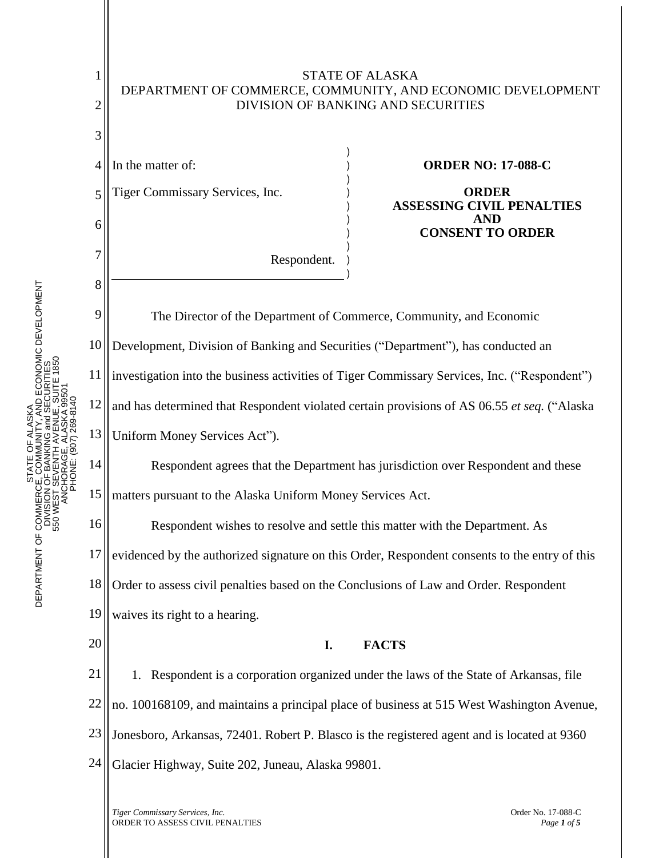

*Tiger Commissary Services, Inc.* Order No. 17-088-C ORDER TO ASSESS CIVIL PENALTIES *Page <sup>1</sup> of <sup>5</sup>*

STATE OF ALASKA DEPARTMENT OF COMMERCE, COMMUNITY, AND ECONOMIC DEVELOPMENT DIVISION OF BANKING and SECURITIES

STATE<br>COMM<br>I OF BANK

ALASKA ξ ŏ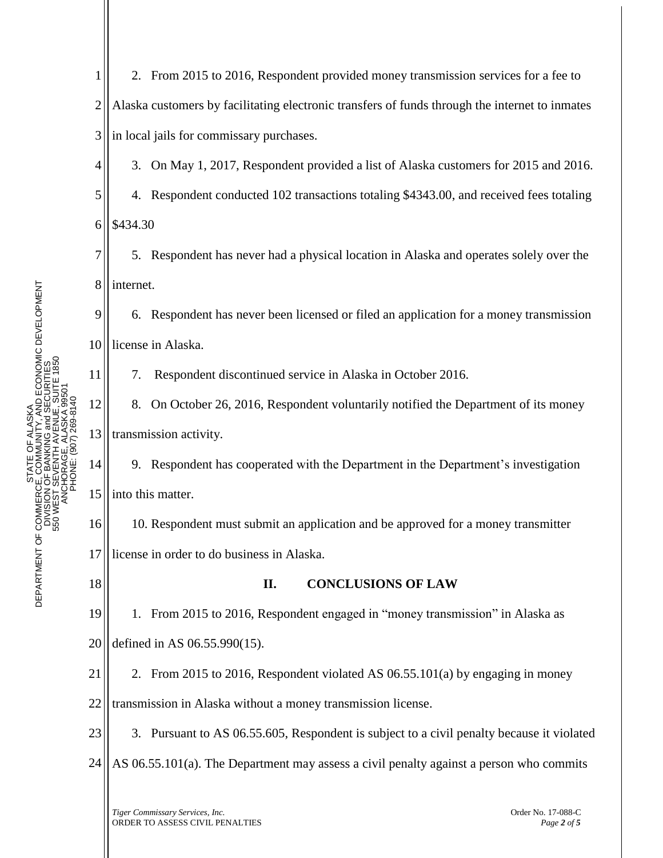1 2 3 2. From 2015 to 2016, Respondent provided money transmission services for a fee to Alaska customers by facilitating electronic transfers of funds through the internet to inmates in local jails for commissary purchases.

3. On May 1, 2017, Respondent provided a list of Alaska customers for 2015 and 2016.

5 6 4. Respondent conducted 102 transactions totaling \$4343.00, and received fees totaling \$434.30

7 8 5. Respondent has never had a physical location in Alaska and operates solely over the internet.

9 10 6. Respondent has never been licensed or filed an application for a money transmission license in Alaska.

7. Respondent discontinued service in Alaska in October 2016.

12 13 8. On October 26, 2016, Respondent voluntarily notified the Department of its money transmission activity.

14 15 9. Respondent has cooperated with the Department in the Department's investigation into this matter.

16 17 10. Respondent must submit an application and be approved for a money transmitter license in order to do business in Alaska.

18

11

4

## **II. CONCLUSIONS OF LAW**

19 20 1. From 2015 to 2016, Respondent engaged in "money transmission" in Alaska as defined in AS 06.55.990(15).

21 2. From 2015 to 2016, Respondent violated AS 06.55.101(a) by engaging in money

22 transmission in Alaska without a money transmission license.

23 3. Pursuant to AS 06.55.605, Respondent is subject to a civil penalty because it violated

24 AS 06.55.101(a). The Department may assess a civil penalty against a person who commits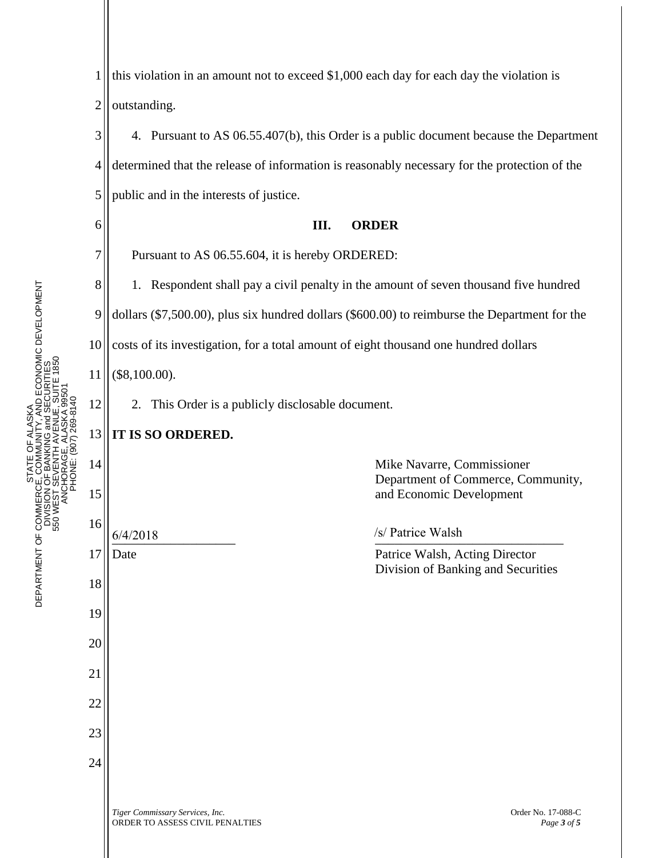E OF ALASKA<br>MMUNITY, AND ECONOMIC DEVELOPMENT<br>NKING and SECURITIES<br>JTH AVENUE, SUITE 1850<br>GE, ALASKA 99501 DEPARTMENT OF COMMERCE, COMMUNITY, AND ECONOMIC DEVELOPMENT 550 WEST SEVENTH AVENUE, SUITE 1850 DIVISION OF BANKING and SECURITIES ANCHORAGE, ALASKA 99501 PHONE: (907) 269-8140 STATE OF ALASKA STATE<br>COMM<br>I OF BANK **N3S** DEPARTMENT OF COMMERCI<br>DIVISION<br>550 WEST S

1

2 3 4 5 6 7 8 9 10 11 12 13 14 15 16 17 18 19 20 21 22 23 24 outstanding. 4. Pursuant to AS 06.55.407(b), this Order is a public document because the Department determined that the release of information is reasonably necessary for the protection of the public and in the interests of justice. **III. ORDER** Pursuant to AS 06.55.604, it is hereby ORDERED: 1. Respondent shall pay a civil penalty in the amount of seven thousand five hundred dollars (\$7,500.00), plus six hundred dollars (\$600.00) to reimburse the Department for the costs of its investigation, for a total amount of eight thousand one hundred dollars (\$8,100.00). 2. This Order is a publicly disclosable document. **IT IS SO ORDERED.** Mike Navarre, Commissioner Department of Commerce, Community, and Economic Development  $\frac{6}{4/2018}$   $\frac{6}{4/2018}$ Date Patrice Walsh, Acting Director Division of Banking and Securities  $6/4/2018$  /s/ Patrice Walsh

this violation in an amount not to exceed \$1,000 each day for each day the violation is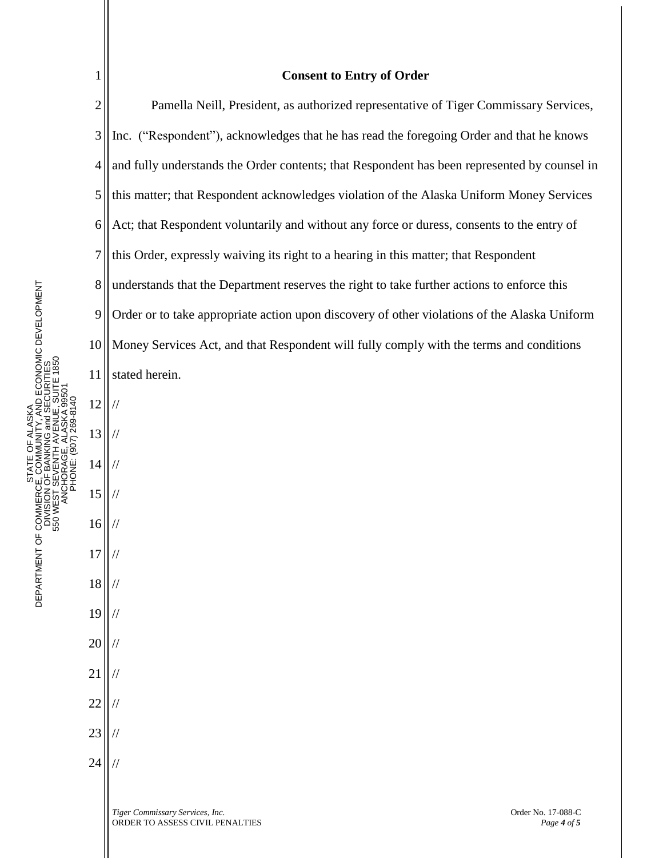|                                                                                           | $\mathbf 1$    | <b>Consent to Entry of Order</b>                                                             |
|-------------------------------------------------------------------------------------------|----------------|----------------------------------------------------------------------------------------------|
| 330 WEB I SEVENTITA VENCE, SONTE TIBO<br>ANCHORAGE, ALASKA 99501<br>PHONE: (907) 269-8140 | $\mathbf{2}$   | Pamella Neill, President, as authorized representative of Tiger Commissary Services,         |
|                                                                                           | 3              | Inc. ("Respondent"), acknowledges that he has read the foregoing Order and that he knows     |
|                                                                                           | $\overline{4}$ | and fully understands the Order contents; that Respondent has been represented by counsel in |
|                                                                                           | 5              | this matter; that Respondent acknowledges violation of the Alaska Uniform Money Services     |
|                                                                                           | 6              | Act; that Respondent voluntarily and without any force or duress, consents to the entry of   |
|                                                                                           | 7              | this Order, expressly waiving its right to a hearing in this matter; that Respondent         |
|                                                                                           | 8              | understands that the Department reserves the right to take further actions to enforce this   |
|                                                                                           | 9              | Order or to take appropriate action upon discovery of other violations of the Alaska Uniform |
|                                                                                           | 10             | Money Services Act, and that Respondent will fully comply with the terms and conditions      |
|                                                                                           | 11             | stated herein.                                                                               |
|                                                                                           | 12             |                                                                                              |
|                                                                                           | 13             | $\frac{1}{2}$                                                                                |
|                                                                                           | 14             |                                                                                              |
|                                                                                           | 15             |                                                                                              |
|                                                                                           | 16             | $\frac{1}{2}$                                                                                |
|                                                                                           | 17             |                                                                                              |
|                                                                                           | 18             |                                                                                              |
|                                                                                           | 19             |                                                                                              |
|                                                                                           | 20             |                                                                                              |
|                                                                                           | 21             |                                                                                              |
|                                                                                           | 22             |                                                                                              |
|                                                                                           | 23             |                                                                                              |
|                                                                                           | 24             |                                                                                              |
|                                                                                           |                | Tiger Commissary Services, Inc.<br>Order No. 17-088-C                                        |